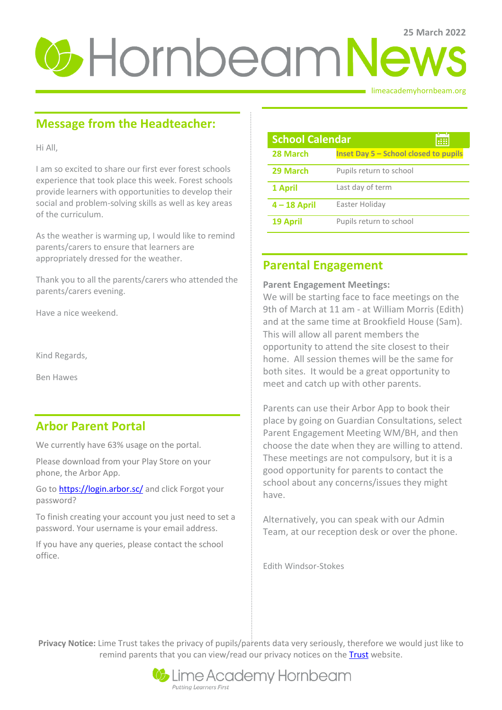# **25 March 2022**

limeacademyhornbeam.org

# **Message from the Headteacher:**

Hi All,

I am so excited to share our first ever forest schools experience that took place this week. Forest schools provide learners with opportunities to develop their social and problem-solving skills as well as key areas of the curriculum.

As the weather is warming up, I would like to remind parents/carers to ensure that learners are appropriately dressed for the weather.

Thank you to all the parents/carers who attended the parents/carers evening.

Have a nice weekend.

Kind Regards,

Ben Hawes

# **Arbor Parent Portal**

We currently have 63% usage on the portal.

Please download from your Play Store on your phone, the Arbor App.

Go t[o https://login.arbor.sc/](https://login.arbor.sc/) and click Forgot your password?

To finish creating your account you just need to set a password. Your username is your email address.

If you have any queries, please contact the school office.

| <b>School Calendar</b> |                                       |
|------------------------|---------------------------------------|
| 28 March               | Inset Day 5 - School closed to pupils |
| 29 March               | Pupils return to school               |
| 1 April                | Last day of term                      |
| $4 - 18$ April         | Easter Holiday                        |
| 19 April               | Pupils return to school               |

## **Parental Engagement**

#### **Parent Engagement Meetings:**

We will be starting face to face meetings on the 9th of March at 11 am - at William Morris (Edith) and at the same time at Brookfield House (Sam). This will allow all parent members the opportunity to attend the site closest to their home. All session themes will be the same for both sites. It would be a great opportunity to meet and catch up with other parents.

Parents can use their Arbor App to book their place by going on Guardian Consultations, select Parent Engagement Meeting WM/BH, and then choose the date when they are willing to attend. These meetings are not compulsory, but it is a good opportunity for parents to contact the school about any concerns/issues they might have.

Alternatively, you can speak with our Admin Team, at our reception desk or over the phone.

Edith Windsor-Stokes

**Privacy Notice:** Lime Trust takes the privacy of pupils/parents data very seriously, therefore we would just like to remind parents that you can view/read our privacy notices on the [Trust](http://limetrust.org/lime-trust-information/policies/) website.

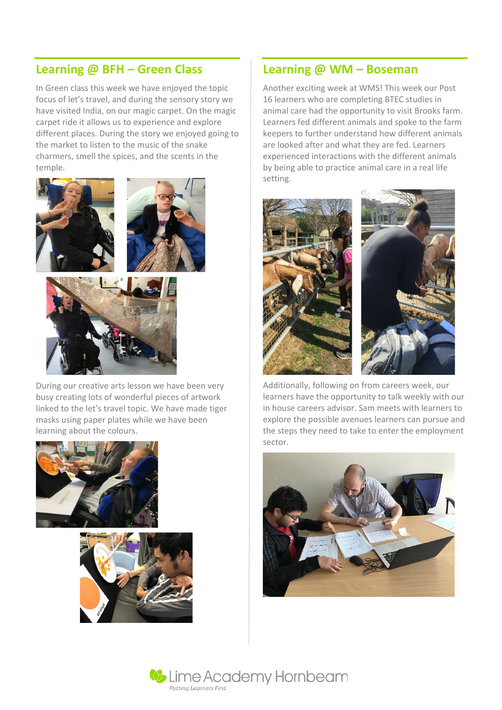## **Learning @ BFH – Green Class**

In Green class this week we have enjoyed the topic focus of let's travel, and during the sensory story we have visited India, on our magic carpet. On the magic carpet ride it allows us to experience and explore different places. During the story we enjoyed going to the market to listen to the music of the snake charmers, smell the spices, and the scents in the temple.



During our creative arts lesson we have been very busy creating lots of wonderful pieces of artwork linked to the let's travel topic. We have made tiger masks using paper plates while we have been learning about the colours.





### **Learning @ WM – Boseman**

Another exciting week at WMS! This week our Post 16 learners who are completing BTEC studies in animal care had the opportunity to visit Brooks farm. Learners fed different animals and spoke to the farm keepers to further understand how different animals are looked after and what they are fed. Learners experienced interactions with the different animals by being able to practice animal care in a real life setting.



Additionally, following on from careers week, our learners have the opportunity to talk weekly with our in house careers advisor. Sam meets with learners to explore the possible avenues learners can pursue and the steps they need to take to enter the employment sector.